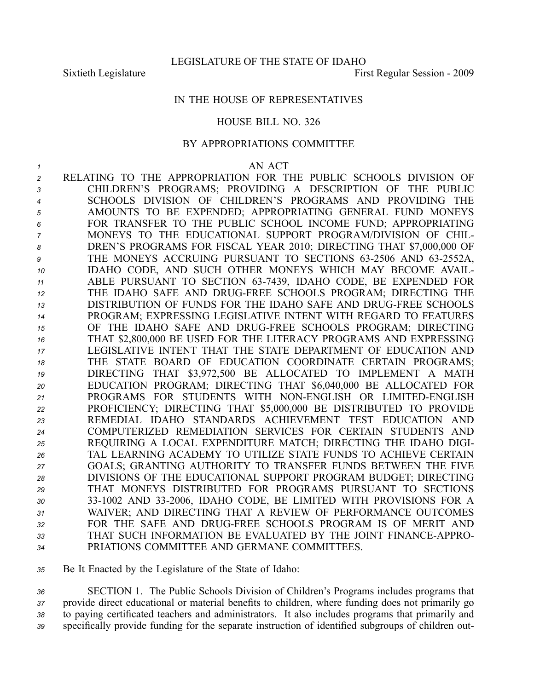## IN THE HOUSE OF REPRESENTATIVES

## HOUSE BILL NO. 326

## BY APPROPRIATIONS COMMITTEE

## *1* AN ACT

 RELATING TO THE APPROPRIATION FOR THE PUBLIC SCHOOLS DIVISION OF CHILDREN'S PROGRAMS; PROVIDING A DESCRIPTION OF THE PUBLIC SCHOOLS DIVISION OF CHILDREN'S PROGRAMS AND PROVIDING THE AMOUNTS TO BE EXPENDED; APPROPRIATING GENERAL FUND MONEYS FOR TRANSFER TO THE PUBLIC SCHOOL INCOME FUND; APPROPRIATING MONEYS TO THE EDUCATIONAL SUPPORT PROGRAM/DIVISION OF CHIL- DREN'S PROGRAMS FOR FISCAL YEAR 2010; DIRECTING THAT \$7,000,000 OF 9 THE MONEYS ACCRUING PURSUANT TO SECTIONS 63-2506 AND 63-2552A, IDAHO CODE, AND SUCH OTHER MONEYS WHICH MAY BECOME AVAIL-11 ABLE PURSUANT TO SECTION 63-7439, IDAHO CODE, BE EXPENDED FOR THE IDAHO SAFE AND DRUGFREE SCHOOLS PROGRAM; DIRECTING THE **DISTRIBUTION OF FUNDS FOR THE IDAHO SAFE AND DRUG-FREE SCHOOLS**  PROGRAM; EXPRESSING LEGISLATIVE INTENT WITH REGARD TO FEATURES OF THE IDAHO SAFE AND DRUGFREE SCHOOLS PROGRAM; DIRECTING THAT \$2,800,000 BE USED FOR THE LITERACY PROGRAMS AND EXPRESSING LEGISLATIVE INTENT THAT THE STATE DEPARTMENT OF EDUCATION AND THE STATE BOARD OF EDUCATION COORDINATE CERTAIN PROGRAMS; DIRECTING THAT \$3,972,500 BE ALLOCATED TO IMPLEMENT A MATH EDUCATION PROGRAM; DIRECTING THAT \$6,040,000 BE ALLOCATED FOR PROGRAMS FOR STUDENTS WITH NONENGLISH OR LIMITEDENGLISH PROFICIENCY; DIRECTING THAT \$5,000,000 BE DISTRIBUTED TO PROVIDE REMEDIAL IDAHO STANDARDS ACHIEVEMENT TEST EDUCATION AND COMPUTERIZED REMEDIATION SERVICES FOR CERTAIN STUDENTS AND REQUIRING A LOCAL EXPENDITURE MATCH; DIRECTING THE IDAHO DIGI- TAL LEARNING ACADEMY TO UTILIZE STATE FUNDS TO ACHIEVE CERTAIN GOALS; GRANTING AUTHORITY TO TRANSFER FUNDS BETWEEN THE FIVE DIVISIONS OF THE EDUCATIONAL SUPPORT PROGRAM BUDGET; DIRECTING THAT MONEYS DISTRIBUTED FOR PROGRAMS PURSUANT TO SECTIONS 331002 AND 332006, IDAHO CODE, BE LIMITED WITH PROVISIONS FOR A WAIVER; AND DIRECTING THAT A REVIEW OF PERFORMANCE OUTCOMES FOR THE SAFE AND DRUGFREE SCHOOLS PROGRAM IS OF MERIT AND THAT SUCH INFORMATION BE EVALUATED BY THE JOINT FINANCEAPPRO-PRIATIONS COMMITTEE AND GERMANE COMMITTEES.

*<sup>35</sup>* Be It Enacted by the Legislature of the State of Idaho:

 SECTION 1. The Public Schools Division of Children's Programs includes programs that provide direct educational or material benefits to children, where funding does not primarily go to paying certificated teachers and administrators. It also includes programs that primarily and specifically provide funding for the separate instruction of identified subgroups of children out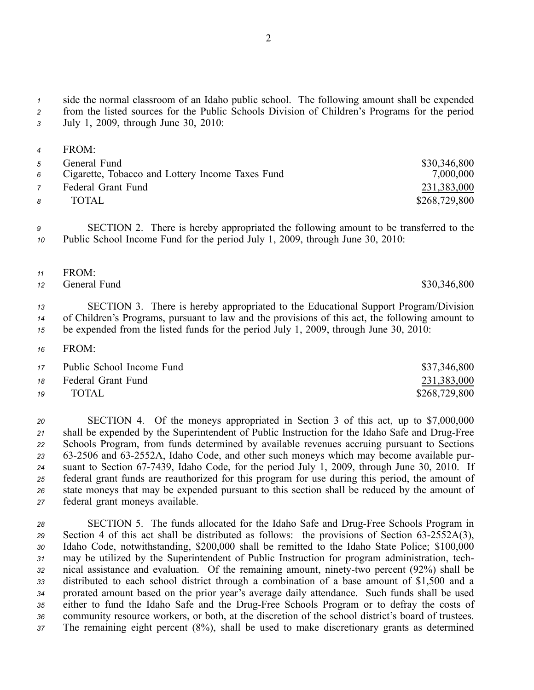*<sup>1</sup>* side the normal classroom of an Idaho public school. The following amount shall be expended

*<sup>2</sup>* from the listed sources for the Public Schools Division of Children's Programs for the period *<sup>3</sup>* July 1, 2009, through June 30, 2010:

| $\overline{4}$ | FROM <sup>-</sup>                                |               |
|----------------|--------------------------------------------------|---------------|
| $5^{\circ}$    | General Fund                                     | \$30,346,800  |
| 6              | Cigarette, Tobacco and Lottery Income Taxes Fund | 7,000,000     |
| $\overline{7}$ | Federal Grant Fund                               | 231,383,000   |
| 8              | TOTAL.                                           | \$268,729,800 |

*<sup>9</sup>* SECTION 2. There is hereby appropriated the following amount to be transferred to the *<sup>10</sup>* Public School Income Fund for the period July 1, 2009, through June 30, 2010:

- *<sup>11</sup>* FROM:
- *<sup>12</sup>* General Fund \$30,346,800

*<sup>13</sup>* SECTION 3. There is hereby appropriated to the Educational Support Program/Division *<sup>14</sup>* of Children's Programs, pursuan<sup>t</sup> to law and the provisions of this act, the following amount to *<sup>15</sup>* be expended from the listed funds for the period July 1, 2009, through June 30, 2010:

*16* FROM:

|    | 17 Public School Income Fund | \$37,346,800  |
|----|------------------------------|---------------|
|    | 18 Federal Grant Fund        | 231,383,000   |
| 19 | TOTAL                        | \$268,729,800 |

 SECTION 4. Of the moneys appropriated in Section 3 of this act, up to \$7,000,000 21 shall be expended by the Superintendent of Public Instruction for the Idaho Safe and Drug-Free Schools Program, from funds determined by available revenues accruing pursuan<sup>t</sup> to Sections 632506 and 632552A, Idaho Code, and other such moneys which may become available pur-24 suant to Section 67-7439, Idaho Code, for the period July 1, 2009, through June 30, 2010. If federal gran<sup>t</sup> funds are reauthorized for this program for use during this period, the amount of state moneys that may be expended pursuan<sup>t</sup> to this section shall be reduced by the amount of federal gran<sup>t</sup> moneys available.

28 SECTION 5. The funds allocated for the Idaho Safe and Drug-Free Schools Program in 29 Section 4 of this act shall be distributed as follows: the provisions of Section 63-2552A(3), *<sup>30</sup>* Idaho Code, notwithstanding, \$200,000 shall be remitted to the Idaho State Police; \$100,000 *<sup>31</sup>* may be utilized by the Superintendent of Public Instruction for program administration, tech-32 nical assistance and evaluation. Of the remaining amount, ninety-two percent (92%) shall be *<sup>33</sup>* distributed to each school district through <sup>a</sup> combination of <sup>a</sup> base amount of \$1,500 and <sup>a</sup> *<sup>34</sup>* prorated amount based on the prior year's average daily attendance. Such funds shall be used 35 either to fund the Idaho Safe and the Drug-Free Schools Program or to defray the costs of *<sup>36</sup>* community resource workers, or both, at the discretion of the school district's board of trustees. *<sup>37</sup>* The remaining eight percen<sup>t</sup> (8%), shall be used to make discretionary grants as determined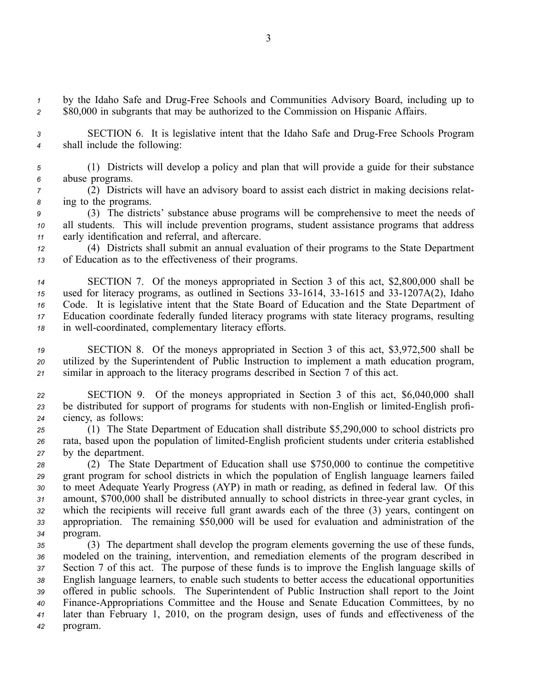<sup>1</sup> by the Idaho Safe and Drug-Free Schools and Communities Advisory Board, including up to *<sup>2</sup>* \$80,000 in subgrants that may be authorized to the Commission on Hispanic Affairs.

3 **SECTION 6.** It is legislative intent that the Idaho Safe and Drug-Free Schools Program *<sup>4</sup>* shall include the following:

*<sup>5</sup>* (1) Districts will develop <sup>a</sup> policy and plan that will provide <sup>a</sup> guide for their substance *<sup>6</sup>* abuse programs.

*<sup>7</sup>* (2) Districts will have an advisory board to assist each district in making decisions relat-*<sup>8</sup>* ing to the programs.

*<sup>9</sup>* (3) The districts' substance abuse programs will be comprehensive to meet the needs of *<sup>10</sup>* all students. This will include prevention programs, student assistance programs that address *<sup>11</sup>* early identification and referral, and aftercare.

*<sup>12</sup>* (4) Districts shall submit an annual evaluation of their programs to the State Department *<sup>13</sup>* of Education as to the effectiveness of their programs.

 SECTION 7. Of the moneys appropriated in Section 3 of this act, \$2,800,000 shall be <sup>15</sup> used for literacy programs, as outlined in Sections 33-1614, 33-1615 and 33-1207A(2), Idaho Code. It is legislative intent that the State Board of Education and the State Department of Education coordinate federally funded literacy programs with state literacy programs, resulting in well-coordinated, complementary literacy efforts.

*<sup>19</sup>* SECTION 8. Of the moneys appropriated in Section 3 of this act, \$3,972,500 shall be *<sup>20</sup>* utilized by the Superintendent of Public Instruction to implement <sup>a</sup> math education program, *<sup>21</sup>* similar in approach to the literacy programs described in Section 7 of this act.

*<sup>22</sup>* SECTION 9. Of the moneys appropriated in Section 3 of this act, \$6,040,000 shall 23 be distributed for support of programs for students with non-English or limited-English profi-*<sup>24</sup>* ciency, as follows:

*<sup>25</sup>* (1) The State Department of Education shall distribute \$5,290,000 to school districts pro 26 rata, based upon the population of limited-English proficient students under criteria established *<sup>27</sup>* by the department.

 (2) The State Department of Education shall use \$750,000 to continue the competitive gran<sup>t</sup> program for school districts in which the population of English language learners failed to meet Adequate Yearly Progress (AYP) in math or reading, as defined in federal law. Of this 31 amount, \$700,000 shall be distributed annually to school districts in three-year grant cycles, in which the recipients will receive full gran<sup>t</sup> awards each of the three (3) years, contingent on appropriation. The remaining \$50,000 will be used for evaluation and administration of the *34* program.

 (3) The department shall develop the program elements governing the use of these funds, modeled on the training, intervention, and remediation elements of the program described in Section 7 of this act. The purpose of these funds is to improve the English language skills of English language learners, to enable such students to better access the educational opportunities offered in public schools. The Superintendent of Public Instruction shall repor<sup>t</sup> to the Joint FinanceAppropriations Committee and the House and Senate Education Committees, by no later than February 1, 2010, on the program design, uses of funds and effectiveness of the *<sup>42</sup>* program.